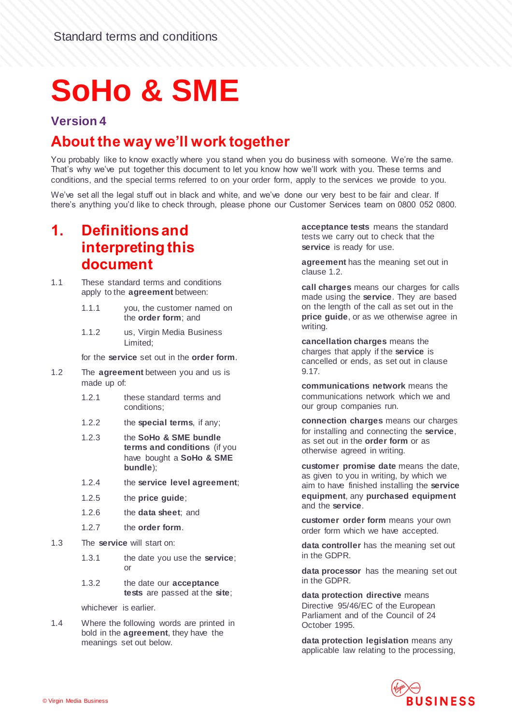# **SoHo & SME**

#### **Version 4**

#### **About the way we'll work together**

You probably like to know exactly where you stand when you do business with someone. We're the same. That's why we've put together this document to let you know how we'll work with you. These terms and conditions, and the special terms referred to on your order form, apply to the services we provide to you.

We've set all the legal stuff out in black and white, and we've done our very best to be fair and clear. If there's anything you'd like to check through, please phone our Customer Services team on 0800 052 0800.

#### **1. Definitions and interpreting this document**

- 1.1 These standard terms and conditions apply to the **agreement** between:
	- 1.1.1 you, the customer named on the **order form**; and
	- 1.1.2 us, Virgin Media Business Limited;

for the **service** set out in the **order form**.

- 1.2 The **agreement** between you and us is made up of:
	- 1.2.1 these standard terms and conditions;
	- 1.2.2 the **special terms**, if any;
	- 1.2.3 the **SoHo & SME bundle terms and conditions** (if you have bought a **SoHo & SME bundle**);
	- 1.2.4 the **service level agreement**;
	- 1.2.5 the **price guide**;
	- 1.2.6 the **data sheet**; and
	- 1.2.7 the **order form**.
- 1.3 The **service** will start on:
	- 1.3.1 the date you use the **service**; or
	- 1.3.2 the date our **acceptance tests** are passed at the **site**;

whichever is earlier.

1.4 Where the following words are printed in bold in the **agreement**, they have the meanings set out below.

**acceptance tests** means the standard tests we carry out to check that the **service** is ready for use.

**agreement** has the meaning set out in clause 1.2.

**call charges** means our charges for calls made using the **service**. They are based on the length of the call as set out in the **price guide**, or as we otherwise agree in writing.

**cancellation charges** means the charges that apply if the **service** is cancelled or ends, as set out in clause 9.17.

**communications network** means the communications network which we and our group companies run.

**connection charges** means our charges for installing and connecting the **service**, as set out in the **order form** or as otherwise agreed in writing.

**customer promise date** means the date, as given to you in writing, by which we aim to have finished installing the **service equipment**, any **purchased equipment** and the **service**.

**customer order form** means your own order form which we have accepted.

**data controller** has the meaning set out in the GDPR.

**data processor** has the meaning set out in the GDPR.

**data protection directive** means Directive 95/46/EC of the European Parliament and of the Council of 24 October 1995.

**data protection legislation** means any applicable law relating to the processing,

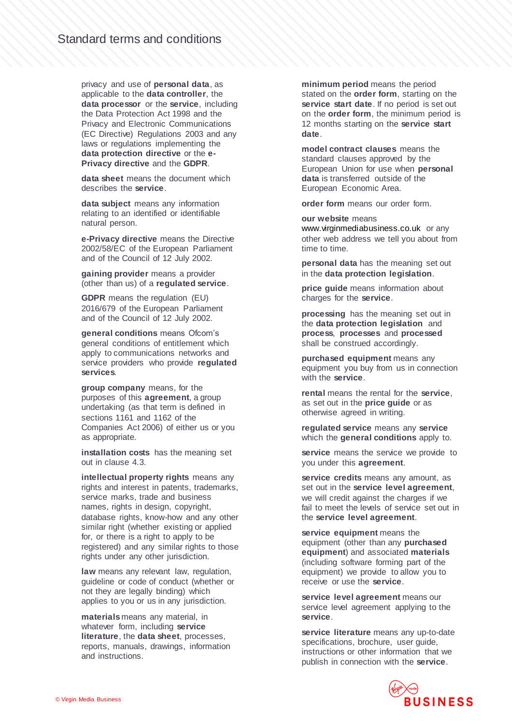privacy and use of **personal data**, as applicable to the **data controller**, the **data processor** or the **service**, including the Data Protection Act 1998 and the Privacy and Electronic Communications (EC Directive) Regulations 2003 and any laws or regulations implementing the **data protection directive** or the **e-Privacy directive** and the **GDPR**.

**data sheet** means the document which describes the **service**.

**data subject** means any information relating to an identified or identifiable natural person.

**e-Privacy directive** means the Directive 2002/58/EC of the European Parliament and of the Council of 12 July 2002.

**gaining provider** means a provider (other than us) of a **regulated service**.

**GDPR** means the regulation (EU) 2016/679 of the European Parliament and of the Council of 12 July 2002.

**general conditions** means Ofcom's general conditions of entitlement which apply to communications networks and service providers who provide **regulated services**.

**group company** means, for the purposes of this **agreement**, a group undertaking (as that term is defined in sections 1161 and 1162 of the Companies Act 2006) of either us or you as appropriate.

**installation costs** has the meaning set out in clause 4.3.

**intellectual property rights** means any rights and interest in patents, trademarks, service marks, trade and business names, rights in design, copyright, database rights, know-how and any other similar right (whether existing or applied for, or there is a right to apply to be registered) and any similar rights to those rights under any other jurisdiction.

**law** means any relevant law, regulation, guideline or code of conduct (whether or not they are legally binding) which applies to you or us in any jurisdiction.

**materials** means any material, in whatever form, including **service literature**, the **data sheet**, processes, reports, manuals, drawings, information and instructions.

**minimum period** means the period stated on the **order form**, starting on the **service start date**. If no period is set out on the **order form**, the minimum period is 12 months starting on the **service start date**.

**model contract clauses** means the standard clauses approved by the European Union for use when **personal data** is transferred outside of the European Economic Area.

**order form** means our order form.

**our website** means [www.virginmediabusiness.co.uk](http://www.virginmediabusiness.co.uk/) or any other web address we tell you about from time to time.

**personal data** has the meaning set out in the **data protection legislation**.

**price guide** means information about charges for the **service**.

**processing** has the meaning set out in the **data protection legislation** and **process**, **processes** and **processed** shall be construed accordingly.

**purchased equipment** means any equipment you buy from us in connection with the **service**.

**rental** means the rental for the **service**, as set out in the **price guide** or as otherwise agreed in writing.

**regulated service** means any **service** which the **general conditions** apply to.

service means the service we provide to you under this **agreement**.

**service credits** means any amount, as set out in the **service level agreement**, we will credit against the charges if we fail to meet the levels of service set out in the **service level agreement**.

**service equipment** means the equipment (other than any **purchased equipment**) and associated **materials** (including software forming part of the equipment) we provide to allow you to receive or use the **service**.

**service level agreement** means our service level agreement applying to the **service**.

**service literature** means any up-to-date specifications, brochure, user guide, instructions or other information that we publish in connection with the **service**.

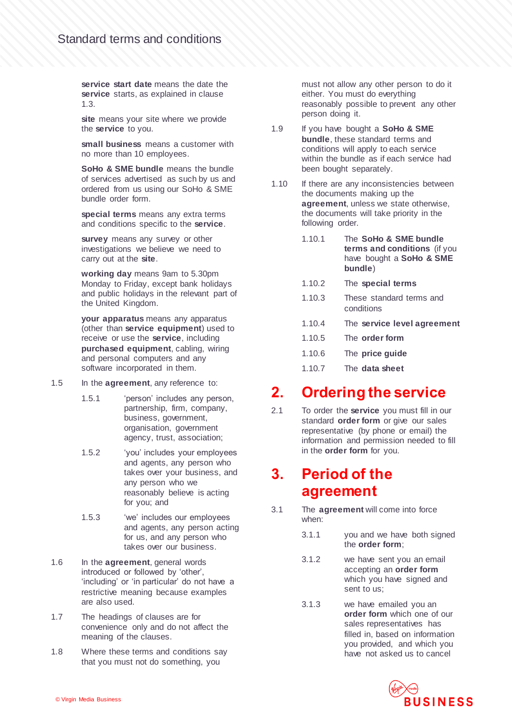**service start date** means the date the **service** starts, as explained in clause 1.3.

site means your site where we provide the **service** to you.

**small business** means a customer with no more than 10 employees.

**SoHo & SME bundle** means the bundle of services advertised as such by us and ordered from us using our SoHo & SME bundle order form.

**special terms** means any extra terms and conditions specific to the **service**.

**survey** means any survey or other investigations we believe we need to carry out at the **site**.

**working day** means 9am to 5.30pm Monday to Friday, except bank holidays and public holidays in the relevant part of the United Kingdom.

**your apparatus** means any apparatus (other than **service equipment**) used to receive or use the **service**, including **purchased equipment**, cabling, wiring and personal computers and any software incorporated in them.

- 1.5 In the **agreement**, any reference to:
	- 1.5.1 'person' includes any person, partnership, firm, company, business, government, organisation, government agency, trust, association;
	- 1.5.2 'you' includes your employees and agents, any person who takes over your business, and any person who we reasonably believe is acting for you; and
	- 1.5.3 'we' includes our employees and agents, any person acting for us, and any person who takes over our business.
- 1.6 In the **agreement**, general words introduced or followed by 'other', 'including' or 'in particular' do not have a restrictive meaning because examples are also used.
- 1.7 The headings of clauses are for convenience only and do not affect the meaning of the clauses.
- 1.8 Where these terms and conditions say that you must not do something, you

must not allow any other person to do it either. You must do everything reasonably possible to prevent any other person doing it.

- 1.9 If you have bought a **SoHo & SME bundle**, these standard terms and conditions will apply to each service within the bundle as if each service had been bought separately.
- 1.10 If there are any inconsistencies between the documents making up the **agreement**, unless we state otherwise, the documents will take priority in the following order.
	- 1.10.1 The **SoHo & SME bundle terms and conditions** (if you have bought a **SoHo & SME bundle**)
	- 1.10.2 The **special terms**
	- 1.10.3 These standard terms and conditions
	- 1.10.4 The **service level agreement**
	- 1.10.5 The **order form**
	- 1.10.6 The **price guide**
	- 1.10.7 The **data sheet**

#### **2. Ordering the service**

2.1 To order the **service** you must fill in our standard **order form** or give our sales representative (by phone or email) the information and permission needed to fill in the **order form** for you.

#### **3. Period of the agreement**

- 3.1 The **agreement** will come into force when:
	- 3.1.1 you and we have both signed the **order form**;
	- 3.1.2 we have sent you an email accepting an **order form** which you have signed and sent to us;
	- 3.1.3 we have emailed you an **order form** which one of our sales representatives has filled in, based on information you provided, and which you have not asked us to cancel

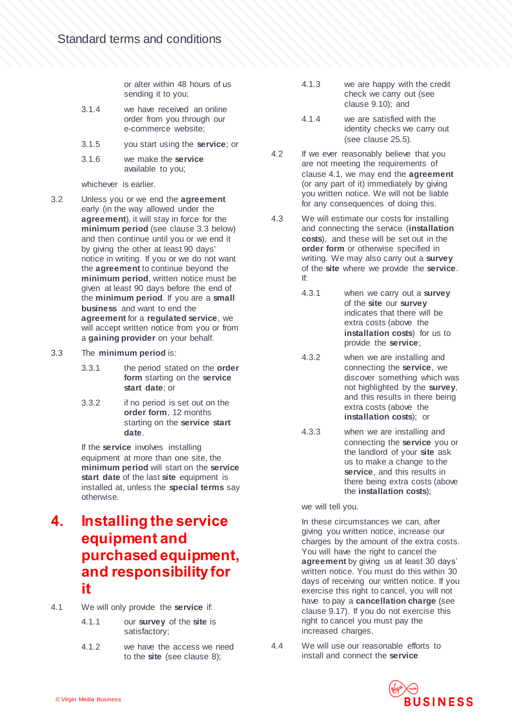or alter within 48 hours of us sending it to you;

- 3.1.4 we have received an online order from you through our e-commerce website;
- 3.1.5 you start using the **service**; or
- 3.1.6 we make the **service** available to you;

whichever is earlier.

- <span id="page-3-0"></span>3.2 Unless you or we end the **agreement** early (in the way allowed under the **agreement**), it will stay in force for the **minimum period** (see clause 3.3 below) and then continue until you or we end it by giving the other at least 90 days' notice in writing. If you or we do not want the **agreement** to continue beyond the **minimum period**, written notice must be given at least 90 days before the end of the **minimum period**. If you are a **small business** and want to end the **agreement** for a **regulated service**, we will accept written notice from you or from a **gaining provider** on your behalf.
- 3.3 The **minimum period** is:
	- 3.3.1 the period stated on the **order form** starting on the **service start date**; or
	- 3.3.2 if no period is set out on the **order form**, 12 months starting on the **service start date**.

If the **service** involves installing equipment at more than one site, the **minimum period** will start on the **service start date** of the last **site** equipment is installed at, unless the **special terms** say otherwise.

#### **4. Installing the service equipment and purchased equipment, and responsibility for it**

- 4.1 We will only provide the **service** if:
	- 4.1.1 our **survey** of the **site** is satisfactory;
	- 4.1.2 we have the access we need to the **site** (see clause 8);
- 4.1.3 we are happy with the credit check we carry out (see clause 9.10); and
- 4.1.4 we are satisfied with the identity checks we carry out (see clause 25.5).
- 4.2 If we ever reasonably believe that you are not meeting the requirements of clause 4.1, we may end the **agreement** (or any part of it) immediately by giving you written notice. We will not be liable for any consequences of doing this.
- 4.3 We will estimate our costs for installing and connecting the service (**installation costs**), and these will be set out in the **order form** or otherwise specified in writing. We may also carry out a **survey** of the **site** where we provide the **service**. If:
	- 4.3.1 when we carry out a **survey** of the **site** our **survey** indicates that there will be extra costs (above the **installation costs**) for us to provide the **service**;
	- 4.3.2 when we are installing and connecting the **service**, we discover something which was not highlighted by the **survey**, and this results in there being extra costs (above the **installation costs**); or
	- 4.3.3 when we are installing and connecting the **service** you or the landlord of your **site** ask us to make a change to the **service**, and this results in there being extra costs (above the **installation costs**);

we will tell you.

In these circumstances we can, after giving you written notice, increase our charges by the amount of the extra costs. You will have the right to cancel the **agreement** by giving us at least 30 days' written notice. You must do this within 30 days of receiving our written notice. If you exercise this right to cancel, you will not have to pay a **cancellation charge** (see clause 9.17). If you do not exercise this right to cancel you must pay the increased charges.

4.4 We will use our reasonable efforts to install and connect the **service** 

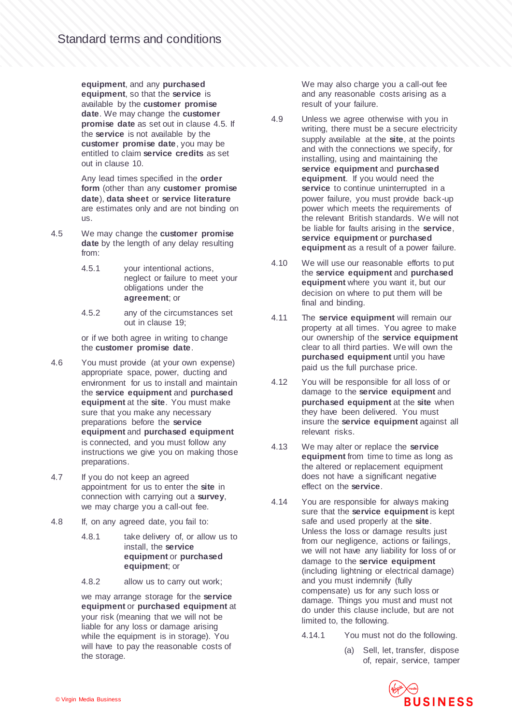**equipment**, and any **purchased equipment**, so that the **service** is available by the **customer promise date**. We may change the **customer promise date** as set out in clause 4.5. If the **service** is not available by the **customer promise date**, you may be entitled to claim **service credits** as set out in clause 10.

Any lead times specified in the **order form** (other than any **customer promise date**), **data sheet** or **service literature** are estimates only and are not binding on us.

- 4.5 We may change the **customer promise date** by the length of any delay resulting from:
	- 4.5.1 your intentional actions, neglect or failure to meet your obligations under the **agreement**; or
	- 4.5.2 any of the circumstances set out in clause 19;

or if we both agree in writing to change the **customer promise date**.

- 4.6 You must provide (at your own expense) appropriate space, power, ducting and environment for us to install and maintain the **service equipment** and **purchased equipment** at the **site**. You must make sure that you make any necessary preparations before the **service equipment** and **purchased equipment**  is connected, and you must follow any instructions we give you on making those preparations.
- 4.7 If you do not keep an agreed appointment for us to enter the **site** in connection with carrying out a **survey**, we may charge you a call-out fee.
- 4.8 If, on any agreed date, you fail to:
	- 4.8.1 take delivery of, or allow us to install, the **service equipment** or **purchased equipment**; or
	- 4.8.2 allow us to carry out work;

we may arrange storage for the **service equipment** or **purchased equipment** at your risk (meaning that we will not be liable for any loss or damage arising while the equipment is in storage). You will have to pay the reasonable costs of the storage.

We may also charge you a call-out fee and any reasonable costs arising as a result of your failure.

- 4.9 Unless we agree otherwise with you in writing, there must be a secure electricity supply available at the **site**, at the points and with the connections we specify, for installing, using and maintaining the **service equipment** and **purchased equipment**. If you would need the **service** to continue uninterrupted in a power failure, you must provide back-up power which meets the requirements of the relevant British standards. We will not be liable for faults arising in the **service**, **service equipment** or **purchased equipment** as a result of a power failure.
- 4.10 We will use our reasonable efforts to put the **service equipment** and **purchased equipment** where you want it, but our decision on where to put them will be final and binding.
- 4.11 The **service equipment** will remain our property at all times. You agree to make our ownership of the **service equipment** clear to all third parties. We will own the **purchased equipment** until you have paid us the full purchase price.
- 4.12 You will be responsible for all loss of or damage to the **service equipment** and **purchased equipment** at the **site** when they have been delivered. You must insure the **service equipment** against all relevant risks.
- 4.13 We may alter or replace the **service equipment** from time to time as long as the altered or replacement equipment does not have a significant negative effect on the **service**.
- 4.14 You are responsible for always making sure that the **service equipment** is kept safe and used properly at the **site**. Unless the loss or damage results just from our negligence, actions or failings, we will not have any liability for loss of or damage to the **service equipment** (including lightning or electrical damage) and you must indemnify (fully compensate) us for any such loss or damage. Things you must and must not do under this clause include, but are not limited to, the following.
	- 4.14.1 You must not do the following.
		- (a) Sell, let, transfer, dispose of, repair, service, tamper

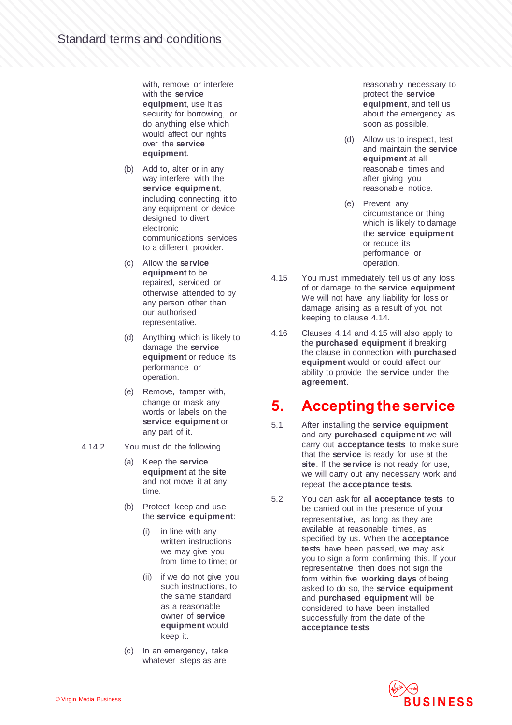with, remove or interfere with the **service equipment**, use it as security for borrowing, or do anything else which would affect our rights over the **service equipment**.

- (b) Add to, alter or in any way interfere with the **service equipment**, including connecting it to any equipment or device designed to divert electronic communications services to a different provider.
- (c) Allow the **service equipment** to be repaired, serviced or otherwise attended to by any person other than our authorised representative.
- (d) Anything which is likely to damage the **service equipment** or reduce its performance or operation.
- (e) Remove, tamper with, change or mask any words or labels on the **service equipment** or any part of it.
- 4.14.2 You must do the following.
	- (a) Keep the **service equipment** at the **site** and not move it at any time.
	- (b) Protect, keep and use the **service equipment**:
		- (i) in line with any written instructions we may give you from time to time; or
		- (ii) if we do not give you such instructions, to the same standard as a reasonable owner of **service equipment** would keep it.
	- (c) In an emergency, take whatever steps as are

reasonably necessary to protect the **service equipment**, and tell us about the emergency as soon as possible.

- (d) Allow us to inspect, test and maintain the **service equipment** at all reasonable times and after giving you reasonable notice.
- (e) Prevent any circumstance or thing which is likely to damage the **service equipment**  or reduce its performance or operation.
- 4.15 You must immediately tell us of any loss of or damage to the **service equipment**. We will not have any liability for loss or damage arising as a result of you not keeping to clause 4.14.
- 4.16 Clauses 4.14 and 4.15 will also apply to the **purchased equipment** if breaking the clause in connection with **purchased equipment** would or could affect our ability to provide the **service** under the **agreement**.

#### **5. Accepting the service**

- 5.1 After installing the **service equipment** and any **purchased equipment** we will carry out **acceptance tests** to make sure that the **service** is ready for use at the **site**. If the **service** is not ready for use, we will carry out any necessary work and repeat the **acceptance tests**.
- 5.2 You can ask for all **acceptance tests** to be carried out in the presence of your representative, as long as they are available at reasonable times, as specified by us. When the **acceptance tests** have been passed, we may ask you to sign a form confirming this. If your representative then does not sign the form within five **working days** of being asked to do so, the **service equipment** and **purchased equipment** will be considered to have been installed successfully from the date of the **acceptance tests**.

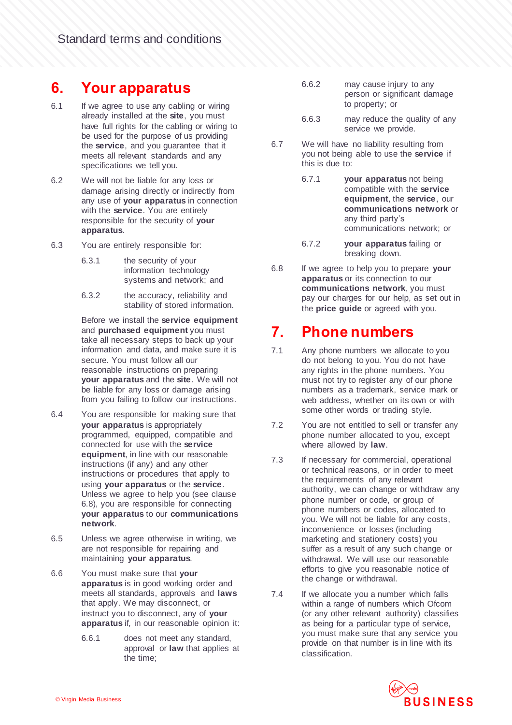#### **6. Your apparatus**

- 6.1 If we agree to use any cabling or wiring already installed at the **site**, you must have full rights for the cabling or wiring to be used for the purpose of us providing the **service**, and you guarantee that it meets all relevant standards and any specifications we tell you.
- 6.2 We will not be liable for any loss or damage arising directly or indirectly from any use of **your apparatus** in connection with the **service**. You are entirely responsible for the security of **your apparatus**.
- 6.3 You are entirely responsible for:
	- 6.3.1 the security of your information technology systems and network; and
	- 6.3.2 the accuracy, reliability and stability of stored information.

Before we install the **service equipment** and **purchased equipment** you must take all necessary steps to back up your information and data, and make sure it is secure. You must follow all our reasonable instructions on preparing **your apparatus** and the **site**. We will not be liable for any loss or damage arising from you failing to follow our instructions.

- 6.4 You are responsible for making sure that **your apparatus** is appropriately programmed, equipped, compatible and connected for use with the **service equipment**, in line with our reasonable instructions (if any) and any other instructions or procedures that apply to using **your apparatus** or the **service**. Unless we agree to help you (see clause 6.8), you are responsible for connecting **your apparatus** to our **communications network**.
- 6.5 Unless we agree otherwise in writing, we are not responsible for repairing and maintaining **your apparatus**.
- 6.6 You must make sure that **your apparatus** is in good working order and meets all standards, approvals and **laws** that apply. We may disconnect, or instruct you to disconnect, any of **your apparatus** if, in our reasonable opinion it:
	- 6.6.1 does not meet any standard, approval or **law** that applies at the time;
- 6.6.2 may cause injury to any person or significant damage to property; or
- 6.6.3 may reduce the quality of any service we provide.
- 6.7 We will have no liability resulting from you not being able to use the **service** if this is due to:
	- 6.7.1 **your apparatus** not being compatible with the **service equipment**, the **service**, our **communications network** or any third party's communications network; or
	- 6.7.2 **your apparatus** failing or breaking down.
- 6.8 If we agree to help you to prepare **your apparatus** or its connection to our **communications network**, you must pay our charges for our help, as set out in the **price guide** or agreed with you.

#### **7. Phone numbers**

- 7.1 Any phone numbers we allocate to you do not belong to you. You do not have any rights in the phone numbers. You must not try to register any of our phone numbers as a trademark, service mark or web address, whether on its own or with some other words or trading style.
- 7.2 You are not entitled to sell or transfer any phone number allocated to you, except where allowed by **law**.
- 7.3 If necessary for commercial, operational or technical reasons, or in order to meet the requirements of any relevant authority, we can change or withdraw any phone number or code, or group of phone numbers or codes, allocated to you. We will not be liable for any costs, inconvenience or losses (including marketing and stationery costs) you suffer as a result of any such change or withdrawal. We will use our reasonable efforts to give you reasonable notice of the change or withdrawal.
- 7.4 If we allocate you a number which falls within a range of numbers which Ofcom (or any other relevant authority) classifies as being for a particular type of service, you must make sure that any service you provide on that number is in line with its classification.

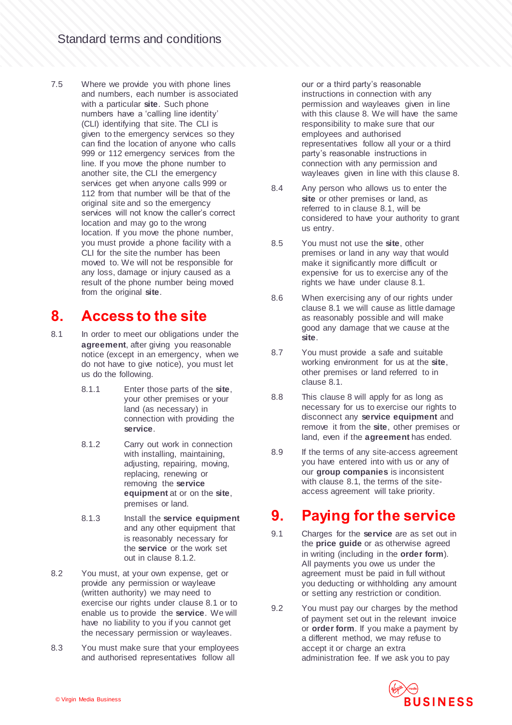7.5 Where we provide you with phone lines and numbers, each number is associated with a particular **site**. Such phone numbers have a 'calling line identity' (CLI) identifying that site. The CLI is given to the emergency services so they can find the location of anyone who calls 999 or 112 emergency services from the line. If you move the phone number to another site, the CLI the emergency services get when anyone calls 999 or 112 from that number will be that of the original site and so the emergency services will not know the caller's correct location and may go to the wrong location. If you move the phone number, you must provide a phone facility with a CLI for the site the number has been moved to. We will not be responsible for any loss, damage or injury caused as a result of the phone number being moved from the original **site**.

#### **8. Access to the site**

- 8.1 In order to meet our obligations under the **agreement**, after giving you reasonable notice (except in an emergency, when we do not have to give notice), you must let us do the following.
	- 8.1.1 Enter those parts of the **site**, your other premises or your land (as necessary) in connection with providing the **service**.
	- 8.1.2 Carry out work in connection with installing, maintaining, adjusting, repairing, moving, replacing, renewing or removing the **service equipment** at or on the **site**, premises or land.
	- 8.1.3 Install the **service equipment** and any other equipment that is reasonably necessary for the **service** or the work set out in clause 8.1.2.
- 8.2 You must, at your own expense, get or provide any permission or wayleave (written authority) we may need to exercise our rights under clause 8.1 or to enable us to provide the **service**. We will have no liability to you if you cannot get the necessary permission or wayleaves.
- 8.3 You must make sure that your employees and authorised representatives follow all

our or a third party's reasonable instructions in connection with any permission and wayleaves given in line with this clause 8. We will have the same responsibility to make sure that our employees and authorised representatives follow all your or a third party's reasonable instructions in connection with any permission and wayleaves given in line with this clause 8.

- 8.4 Any person who allows us to enter the **site** or other premises or land, as referred to in clause 8.1, will be considered to have your authority to grant us entry.
- 8.5 You must not use the **site**, other premises or land in any way that would make it significantly more difficult or expensive for us to exercise any of the rights we have under clause 8.1.
- 8.6 When exercising any of our rights under clause 8.1 we will cause as little damage as reasonably possible and will make good any damage that we cause at the **site**.
- 8.7 You must provide a safe and suitable working environment for us at the **site**, other premises or land referred to in clause 8.1.
- 8.8 This clause 8 will apply for as long as necessary for us to exercise our rights to disconnect any **service equipment** and remove it from the **site**, other premises or land, even if the **agreement** has ended.
- 8.9 If the terms of any site-access agreement you have entered into with us or any of our **group companies** is inconsistent with clause 8.1, the terms of the siteaccess agreement will take priority.

#### **9. Paying for the service**

- 9.1 Charges for the **service** are as set out in the **price guide** or as otherwise agreed in writing (including in the **order form**). All payments you owe us under the agreement must be paid in full without you deducting or withholding any amount or setting any restriction or condition.
- 9.2 You must pay our charges by the method of payment set out in the relevant invoice or **order form**. If you make a payment by a different method, we may refuse to accept it or charge an extra administration fee. If we ask you to pay

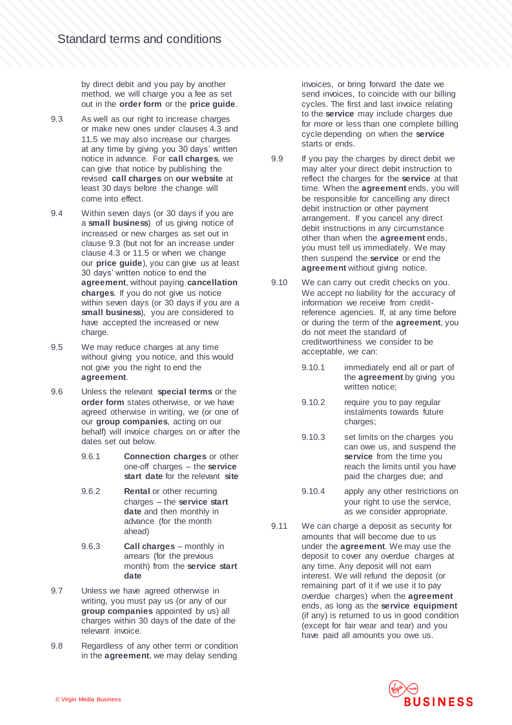by direct debit and you pay by another method, we will charge you a fee as set out in the **order form** or the **price guide**.

- 9.3 As well as our right to increase charges or make new ones under clauses 4.3 and 11.5 we may also increase our charges at any time by giving you 30 days' written notice in advance. For **call charges**, we can give that notice by publishing the revised **call charges** on **our website** at least 30 days before the change will come into effect.
- 9.4 Within seven days (or 30 days if you are a **small business**) of us giving notice of increased or new charges as set out in clause 9.3 (but not for an increase under clause 4.3 or 11.5 or when we change our **price guide**), you can give us at least 30 days' written notice to end the **agreement**, without paying **cancellation charges**. If you do not give us notice within seven days (or 30 days if you are a **small business**), you are considered to have accepted the increased or new charge.
- 9.5 We may reduce charges at any time without giving you notice, and this would not give you the right to end the **agreement**.
- 9.6 Unless the relevant **special terms** or the **order form** states otherwise, or we have agreed otherwise in writing, we (or one of our **group companies**, acting on our behalf) will invoice charges on or after the dates set out below.
	- 9.6.1 **Connection charges** or other one-off charges – the **service start date** for the relevant **site**
	- 9.6.2 **Rental** or other recurring charges – the **service start date** and then monthly in advance (for the month ahead)
	- 9.6.3 **Call charges** monthly in arrears (for the previous month) from the **service start date**
- 9.7 Unless we have agreed otherwise in writing, you must pay us (or any of our **group companies** appointed by us) all charges within 30 days of the date of the relevant invoice.
- 9.8 Regardless of any other term or condition in the **agreement**, we may delay sending

invoices, or bring forward the date we send invoices, to coincide with our billing cycles. The first and last invoice relating to the **service** may include charges due for more or less than one complete billing cycle depending on when the **service** starts or ends.

- 9.9 If you pay the charges by direct debit we may alter your direct debit instruction to reflect the charges for the **service** at that time. When the **agreement** ends, you will be responsible for cancelling any direct debit instruction or other payment arrangement. If you cancel any direct debit instructions in any circumstance other than when the **agreement** ends, you must tell us immediately. We may then suspend the **service** or end the **agreement** without giving notice.
- 9.10 We can carry out credit checks on you. We accept no liability for the accuracy of information we receive from creditreference agencies. If, at any time before or during the term of the **agreement**, you do not meet the standard of creditworthiness we consider to be acceptable, we can:
	- 9.10.1 immediately end all or part of the **agreement** by giving you written notice;
	- 9.10.2 require you to pay regular instalments towards future charges;
	- 9.10.3 set limits on the charges you can owe us, and suspend the **service** from the time you reach the limits until you have paid the charges due; and
	- 9.10.4 apply any other restrictions on your right to use the service, as we consider appropriate.
- 9.11 We can charge a deposit as security for amounts that will become due to us under the **agreement**. We may use the deposit to cover any overdue charges at any time. Any deposit will not earn interest. We will refund the deposit (or remaining part of it if we use it to pay overdue charges) when the **agreement** ends, as long as the **service equipment** (if any) is returned to us in good condition (except for fair wear and tear) and you have paid all amounts you owe us.

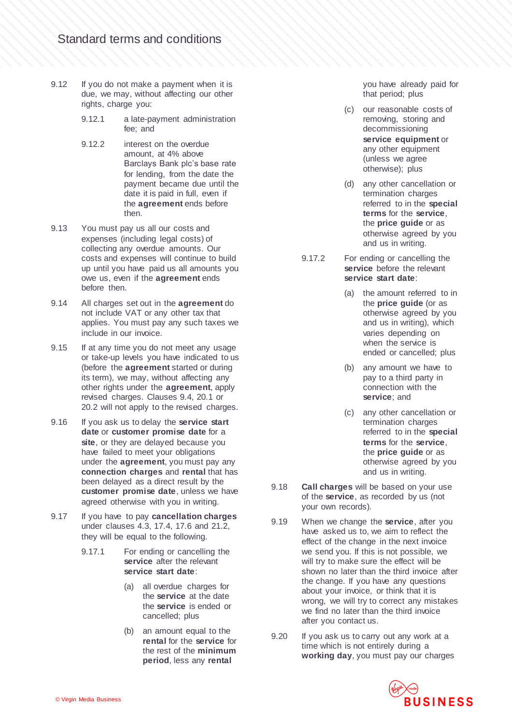- 9.12 If you do not make a payment when it is due, we may, without affecting our other rights, charge you:
	- 9.12.1 a late-payment administration fee; and
	- 9.12.2 interest on the overdue amount, at 4% above Barclays Bank plc's base rate for lending, from the date the payment became due until the date it is paid in full, even if the **agreement** ends before then.
- 9.13 You must pay us all our costs and expenses (including legal costs) of collecting any overdue amounts. Our costs and expenses will continue to build up until you have paid us all amounts you owe us, even if the **agreement** ends before then.
- 9.14 All charges set out in the **agreement** do not include VAT or any other tax that applies. You must pay any such taxes we include in our invoice.
- 9.15 If at any time you do not meet any usage or take-up levels you have indicated to us (before the **agreement** started or during its term), we may, without affecting any other rights under the **agreement**, apply revised charges. Clauses 9.4, 20.1 or 20.2 will not apply to the revised charges.
- 9.16 If you ask us to delay the **service start date** or **customer promise date** for a **site**, or they are delayed because you have failed to meet your obligations under the **agreement**, you must pay any **connection charges** and **rental** that has been delayed as a direct result by the **customer promise date**, unless we have agreed otherwise with you in writing.
- <span id="page-9-0"></span>9.17 If you have to pay **cancellation charges** under clauses 4.3, 17.4, 17.6 and 21.2, they will be equal to the following.
	- 9.17.1 For ending or cancelling the **service** after the relevant **service start date**:
		- (a) all overdue charges for the **service** at the date the **service** is ended or cancelled; plus
		- (b) an amount equal to the **rental** for the **service** for the rest of the **minimum period**, less any **rental**

you have already paid for that period; plus

- (c) our reasonable costs of removing, storing and decommissioning **service equipment** or any other equipment (unless we agree otherwise); plus
- (d) any other cancellation or termination charges referred to in the **special terms** for the **service**, the **price guide** or as otherwise agreed by you and us in writing.
- 9.17.2 For ending or cancelling the **service** before the relevant **service start date**:
	- (a) the amount referred to in the **price guide** (or as otherwise agreed by you and us in writing), which varies depending on when the service is ended or cancelled; plus
	- (b) any amount we have to pay to a third party in connection with the **service**; and
	- (c) any other cancellation or termination charges referred to in the **special terms** for the **service**, the **price guide** or as otherwise agreed by you and us in writing.
- 9.18 **Call charges** will be based on your use of the **service**, as recorded by us (not your own records).
- 9.19 When we change the **service**, after you have asked us to, we aim to reflect the effect of the change in the next invoice we send you. If this is not possible, we will try to make sure the effect will be shown no later than the third invoice after the change. If you have any questions about your invoice, or think that it is wrong, we will try to correct any mistakes we find no later than the third invoice after you contact us.
- 9.20 If you ask us to carry out any work at a time which is not entirely during a **working day**, you must pay our charges

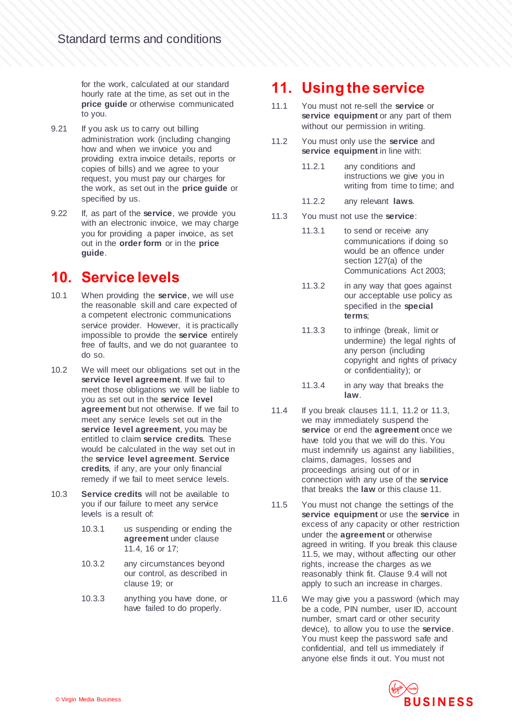for the work, calculated at our standard hourly rate at the time, as set out in the **price guide** or otherwise communicated to you.

- 9.21 If you ask us to carry out billing administration work (including changing how and when we invoice you and providing extra invoice details, reports or copies of bills) and we agree to your request, you must pay our charges for the work, as set out in the **price guide** or specified by us.
- 9.22 If, as part of the **service**, we provide you with an electronic invoice, we may charge you for providing a paper invoice, as set out in the **order form** or in the **price guide**.

#### **10. Service levels**

- 10.1 When providing the **service**, we will use the reasonable skill and care expected of a competent electronic communications service provider. However, it is practically impossible to provide the **service** entirely free of faults, and we do not guarantee to do so.
- 10.2 We will meet our obligations set out in the **service level agreement**. If we fail to meet those obligations we will be liable to you as set out in the **service level agreement** but not otherwise. If we fail to meet any service levels set out in the **service level agreement**, you may be entitled to claim **service credits**. These would be calculated in the way set out in the **service level agreement**. **Service credits**, if any, are your only financial remedy if we fail to meet service levels.
- 10.3 **Service credits** will not be available to you if our failure to meet any service levels is a result of:
	- 10.3.1 us suspending or ending the **agreement** under clause 11.4, 16 or 17;
	- 10.3.2 any circumstances beyond our control, as described in clause 19; or
	- 10.3.3 anything you have done, or have failed to do properly.

#### **11. Using the service**

- 11.1 You must not re-sell the **service** or **service equipment** or any part of them without our permission in writing.
- 11.2 You must only use the **service** and **service equipment** in line with:
	- 11.2.1 any conditions and instructions we give you in writing from time to time; and
	- 11.2.2 any relevant **laws**.
- 11.3 You must not use the **service**:
	- 11.3.1 to send or receive any communications if doing so would be an offence under section 127(a) of the Communications Act 2003;
	- 11.3.2 in any way that goes against our acceptable use policy as specified in the **special terms**;
	- 11.3.3 to infringe (break, limit or undermine) the legal rights of any person (including copyright and rights of privacy or confidentiality); or
	- 11.3.4 in any way that breaks the **law**.
- 11.4 If you break clauses 11.1, 11.2 or 11.3, we may immediately suspend the **service** or end the **agreement** once we have told you that we will do this. You must indemnify us against any liabilities, claims, damages, losses and proceedings arising out of or in connection with any use of the **service** that breaks the **law** or this clause 11.
- 11.5 You must not change the settings of the **service equipment** or use the **service** in excess of any capacity or other restriction under the **agreement** or otherwise agreed in writing. If you break this clause 11.5, we may, without affecting our other rights, increase the charges as we reasonably think fit. Clause 9.4 will not apply to such an increase in charges.
- 11.6 We may give you a password (which may be a code, PIN number, user ID, account number, smart card or other security device), to allow you to use the **service**. You must keep the password safe and confidential, and tell us immediately if anyone else finds it out. You must not

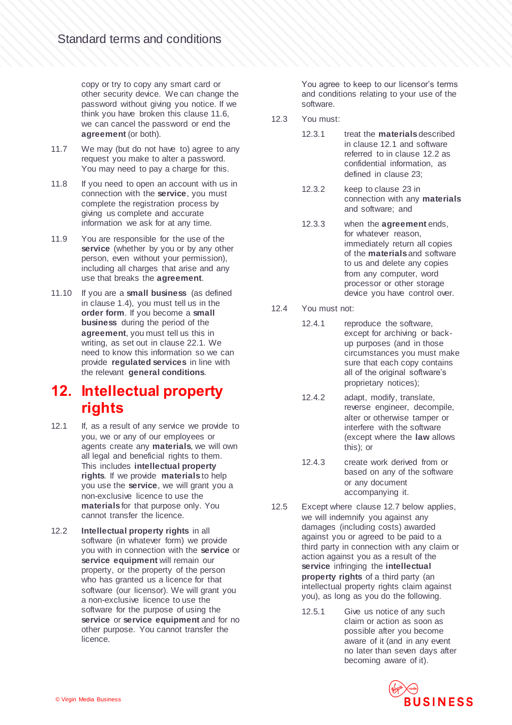copy or try to copy any smart card or other security device. We can change the password without giving you notice. If we think you have broken this clause 11.6, we can cancel the password or end the **agreement** (or both).

- 11.7 We may (but do not have to) agree to any request you make to alter a password. You may need to pay a charge for this.
- 11.8 If you need to open an account with us in connection with the **service**, you must complete the registration process by giving us complete and accurate information we ask for at any time.
- 11.9 You are responsible for the use of the service (whether by you or by any other person, even without your permission), including all charges that arise and any use that breaks the **agreement**.
- 11.10 If you are a **small business** (as defined in clause 1.4), you must tell us in the **order form**. If you become a **small business** during the period of the **agreement**, you must tell us this in writing, as set out in clause 22.1. We need to know this information so we can provide **regulated services** in line with the relevant **general conditions**.

#### **12. Intellectual property rights**

- 12.1 If, as a result of any service we provide to you, we or any of our employees or agents create any **materials**, we will own all legal and beneficial rights to them. This includes **intellectual property rights**. If we provide **materials** to help you use the **service**, we will grant you a non-exclusive licence to use the **materials** for that purpose only. You cannot transfer the licence.
- 12.2 **Intellectual property rights** in all software (in whatever form) we provide you with in connection with the **service** or **service equipment** will remain our property, or the property of the person who has granted us a licence for that software (our licensor). We will grant you a non-exclusive licence to use the software for the purpose of using the **service** or **service equipment** and for no other purpose. You cannot transfer the licence.

You agree to keep to our licensor's terms and conditions relating to your use of the software.

- 12.3 You must:
	- 12.3.1 treat the **materials** described in clause 12.1 and software referred to in clause 12.2 as confidential information, as defined in clause 23;
	- 12.3.2 keep to clause 23 in connection with any **materials** and software; and
	- 12.3.3 when the **agreement** ends, for whatever reason, immediately return all copies of the **materials** and software to us and delete any copies from any computer, word processor or other storage device you have control over.
- 12.4 You must not:
	- 12.4.1 reproduce the software, except for archiving or backup purposes (and in those circumstances you must make sure that each copy contains all of the original software's proprietary notices);
	- 12.4.2 adapt, modify, translate, reverse engineer, decompile, alter or otherwise tamper or interfere with the software (except where the **law** allows this); or
	- 12.4.3 create work derived from or based on any of the software or any document accompanying it.
- 12.5 Except where clause 12.7 below applies, we will indemnify you against any damages (including costs) awarded against you or agreed to be paid to a third party in connection with any claim or action against you as a result of the **service** infringing the **intellectual property rights** of a third party (an intellectual property rights claim against you), as long as you do the following.
	- 12.5.1 Give us notice of any such claim or action as soon as possible after you become aware of it (and in any event no later than seven days after becoming aware of it).

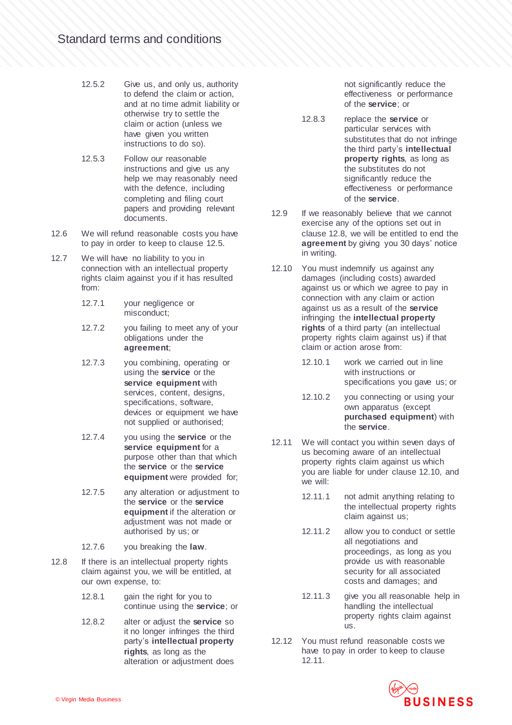- 12.5.2 Give us, and only us, authority to defend the claim or action, and at no time admit liability or otherwise try to settle the claim or action (unless we have given you written instructions to do so).
- 12.5.3 Follow our reasonable instructions and give us any help we may reasonably need with the defence, including completing and filing court papers and providing relevant documents.
- 12.6 We will refund reasonable costs you have to pay in order to keep to clause 12.5.
- 12.7 We will have no liability to you in connection with an intellectual property rights claim against you if it has resulted from:
	- 12.7.1 your negligence or misconduct;
	- 12.7.2 you failing to meet any of your obligations under the **agreement**;
	- 12.7.3 you combining, operating or using the **service** or the **service equipment** with services, content, designs, specifications, software, devices or equipment we have not supplied or authorised;
	- 12.7.4 you using the **service** or the **service equipment** for a purpose other than that which the **service** or the **service equipment** were provided for;
	- 12.7.5 any alteration or adjustment to the **service** or the **service equipment** if the alteration or adjustment was not made or authorised by us; or
	- 12.7.6 you breaking the **law**.
- 12.8 If there is an intellectual property rights claim against you, we will be entitled, at our own expense, to:
	- 12.8.1 gain the right for you to continue using the **service**; or
	- 12.8.2 alter or adjust the **service** so it no longer infringes the third party's **intellectual property rights**, as long as the alteration or adjustment does

not significantly reduce the effectiveness or performance of the **service**; or

- 12.8.3 replace the **service** or particular services with substitutes that do not infringe the third party's **intellectual property rights**, as long as the substitutes do not significantly reduce the effectiveness or performance of the **service**.
- 12.9 If we reasonably believe that we cannot exercise any of the options set out in clause 12.8, we will be entitled to end the **agreement** by giving you 30 days' notice in writing.
- 12.10 You must indemnify us against any damages (including costs) awarded against us or which we agree to pay in connection with any claim or action against us as a result of the **service** infringing the **intellectual property rights** of a third party (an intellectual property rights claim against us) if that claim or action arose from:
	- 12.10.1 work we carried out in line with instructions or specifications you gave us; or
	- 12.10.2 you connecting or using your own apparatus (except **purchased equipment**) with the **service**.
- 12.11 We will contact you within seven days of us becoming aware of an intellectual property rights claim against us which you are liable for under clause 12.10, and we will:
	- 12.11.1 not admit anything relating to the intellectual property rights claim against us;
	- 12.11.2 allow you to conduct or settle all negotiations and proceedings, as long as you provide us with reasonable security for all associated costs and damages; and
	- 12.11.3 give you all reasonable help in handling the intellectual property rights claim against us.
- 12.12 You must refund reasonable costs we have to pay in order to keep to clause 12.11.

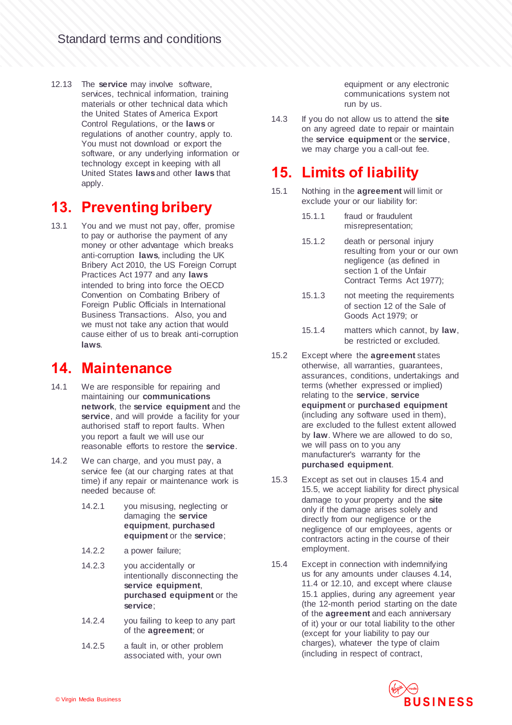12.13 The **service** may involve software, services, technical information, training materials or other technical data which the United States of America Export Control Regulations, or the **laws** or regulations of another country, apply to. You must not download or export the software, or any underlying information or technology except in keeping with all United States **laws** and other **laws** that apply

#### **13. Preventing bribery**

13.1 You and we must not pay, offer, promise to pay or authorise the payment of any money or other advantage which breaks anti-corruption **laws**, including the UK Bribery Act 2010, the US Foreign Corrupt Practices Act 1977 and any **laws** intended to bring into force the OECD Convention on Combating Bribery of Foreign Public Officials in International Business Transactions. Also, you and we must not take any action that would cause either of us to break anti-corruption **laws**.

#### **14. Maintenance**

- 14.1 We are responsible for repairing and maintaining our **communications network**, the **service equipment** and the **service**, and will provide a facility for your authorised staff to report faults. When you report a fault we will use our reasonable efforts to restore the **service**.
- 14.2 We can charge, and you must pay, a service fee (at our charging rates at that time) if any repair or maintenance work is needed because of:
	- 14.2.1 you misusing, neglecting or damaging the **service equipment**, **purchased equipment** or the **service**;
	- 14.2.2 a power failure;
	- 14.2.3 you accidentally or intentionally disconnecting the **service equipment**, **purchased equipment** or the **service**;
	- 14.2.4 you failing to keep to any part of the **agreement**; or
	- 14.2.5 a fault in, or other problem associated with, your own

equipment or any electronic communications system not run by us.

14.3 If you do not allow us to attend the **site** on any agreed date to repair or maintain the **service equipment** or the **service**, we may charge you a call-out fee.

## **15. Limits of liability**

- 15.1 Nothing in the **agreement** will limit or exclude your or our liability for:
	- 15.1.1 fraud or fraudulent misrepresentation;
	- 15.1.2 death or personal injury resulting from your or our own negligence (as defined in section 1 of the Unfair Contract Terms Act 1977);
	- 15.1.3 not meeting the requirements of section 12 of the Sale of Goods Act 1979; or
	- 15.1.4 matters which cannot, by **law**, be restricted or excluded.
- 15.2 Except where the **agreement** states otherwise, all warranties, guarantees, assurances, conditions, undertakings and terms (whether expressed or implied) relating to the **service**, **service equipment** or **purchased equipment** (including any software used in them), are excluded to the fullest extent allowed by **law**. Where we are allowed to do so, we will pass on to you any manufacturer's warranty for the **purchased equipment**.
- 15.3 Except as set out in clauses 15.4 and [15.5,](#page-14-0) we accept liability for direct physical damage to your property and the **site** only if the damage arises solely and directly from our negligence or the negligence of our employees, agents or contractors acting in the course of their employment.
- 15.4 Except in connection with indemnifying us for any amounts under clauses 4.14, 11.4 or 12.10, and except where clause 15.1 applies, during any agreement year (the 12-month period starting on the date of the **agreement** and each anniversary of it) your or our total liability to the other (except for your liability to pay our charges), whatever the type of claim (including in respect of contract,

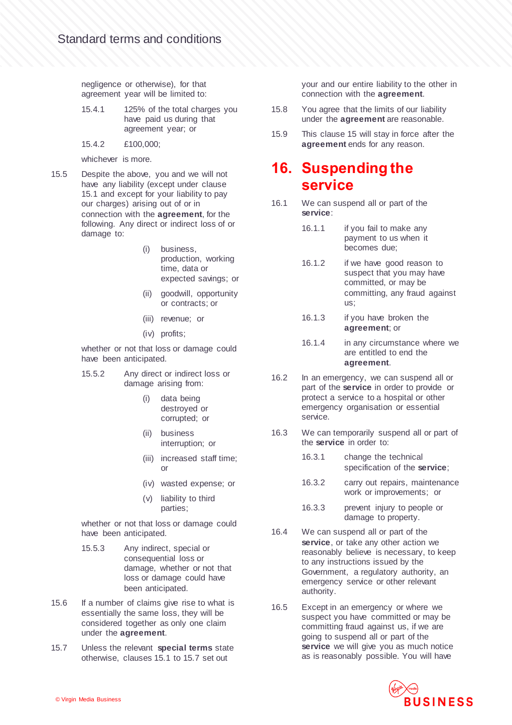negligence or otherwise), for that agreement year will be limited to:

- 15.4.1 125% of the total charges you have paid us during that agreement year; or
- 15.4.2 £100,000;

whichever is more.

- <span id="page-14-0"></span>15.5 Despite the above, you and we will not have any liability (except under clause 15.1 and except for your liability to pay our charges) arising out of or in connection with the **agreement**, for the following. Any direct or indirect loss of or damage to:
	- (i) business, production, working time, data or expected savings; or
	- (ii) goodwill, opportunity or contracts; or
	- (iii) revenue; or
	- (iv) profits;

whether or not that loss or damage could have been anticipated.

- 15.5.2 Any direct or indirect loss or damage arising from:
	- (i) data being destroyed or corrupted; or
	- (ii) business interruption; or
	- (iii) increased staff time; or
	- (iv) wasted expense; or
	- (v) liability to third parties;

whether or not that loss or damage could have been anticipated.

- 15.5.3 Any indirect, special or consequential loss or damage, whether or not that loss or damage could have been anticipated.
- 15.6 If a number of claims give rise to what is essentially the same loss, they will be considered together as only one claim under the **agreement**.
- 15.7 Unless the relevant **special terms** state otherwise, clauses 15.1 to 15.7 set out

your and our entire liability to the other in connection with the **agreement**.

- 15.8 You agree that the limits of our liability under the **agreement** are reasonable.
- 15.9 This clause 15 will stay in force after the **agreement** ends for any reason.

#### **16. Suspending the service**

- 16.1 We can suspend all or part of the **service**:
	- 16.1.1 if you fail to make any payment to us when it becomes due;
	- 16.1.2 if we have good reason to suspect that you may have committed, or may be committing, any fraud against us;
	- 16.1.3 if you have broken the **agreement**; or
	- 16.1.4 in any circumstance where we are entitled to end the **agreement**.
- 16.2 In an emergency, we can suspend all or part of the **service** in order to provide or protect a service to a hospital or other emergency organisation or essential service.
- 16.3 We can temporarily suspend all or part of the **service** in order to:
	- 16.3.1 change the technical specification of the **service**;
	- 16.3.2 carry out repairs, maintenance work or improvements; or
	- 16.3.3 prevent injury to people or damage to property.
- 16.4 We can suspend all or part of the **service**, or take any other action we reasonably believe is necessary, to keep to any instructions issued by the Government, a regulatory authority, an emergency service or other relevant authority.
- 16.5 Except in an emergency or where we suspect you have committed or may be committing fraud against us, if we are going to suspend all or part of the **service** we will give you as much notice as is reasonably possible. You will have

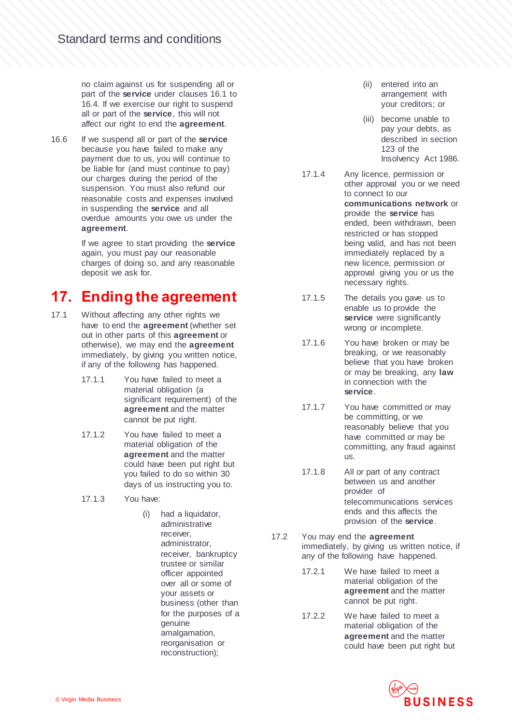no claim against us for suspending all or part of the **service** under clauses 16.1 to 16.4. If we exercise our right to suspend all or part of the **service**, this will not affect our right to end the **agreement**.

16.6 If we suspend all or part of the **service** because you have failed to make any payment due to us, you will continue to be liable for (and must continue to pay) our charges during the period of the suspension. You must also refund our reasonable costs and expenses involved in suspending the **service** and all overdue amounts you owe us under the **agreement**.

> If we agree to start providing the **service** again, you must pay our reasonable charges of doing so, and any reasonable deposit we ask for.

## **17. Ending the agreement**

- 17.1 Without affecting any other rights we have to end the **agreement** (whether set out in other parts of this **agreement** or otherwise), we may end the **agreement** immediately, by giving you written notice, if any of the following has happened.
	- 17.1.1 You have failed to meet a material obligation (a significant requirement) of the **agreement** and the matter cannot be put right.
	- 17.1.2 You have failed to meet a material obligation of the **agreement** and the matter could have been put right but you failed to do so within 30 days of us instructing you to.
	- 17.1.3 You have:
		- (i) had a liquidator, administrative receiver, administrator, receiver, bankruptcy trustee or similar officer appointed over all or some of your assets or business (other than for the purposes of a genuine amalgamation, reorganisation or reconstruction);
- (ii) entered into an arrangement with your creditors; or
- (iii) become unable to pay your debts, as described in section 123 of the Insolvency Act 1986.
- 17.1.4 Any licence, permission or other approval you or we need to connect to our **communications network** or provide the **service** has ended, been withdrawn, been restricted or has stopped being valid, and has not been immediately replaced by a new licence, permission or approval giving you or us the necessary rights.
- 17.1.5 The details you gave us to enable us to provide the **service** were significantly wrong or incomplete.
- 17.1.6 You have broken or may be breaking, or we reasonably believe that you have broken or may be breaking, any **law** in connection with the **service**.
- 17.1.7 You have committed or may be committing, or we reasonably believe that you have committed or may be committing, any fraud against us.
- 17.1.8 All or part of any contract between us and another provider of telecommunications services ends and this affects the provision of the **service**.
- 17.2 You may end the **agreement** immediately, by giving us written notice, if any of the following have happened.
	- 17.2.1 We have failed to meet a material obligation of the **agreement** and the matter cannot be put right.
	- 17.2.2 We have failed to meet a material obligation of the **agreement** and the matter could have been put right but

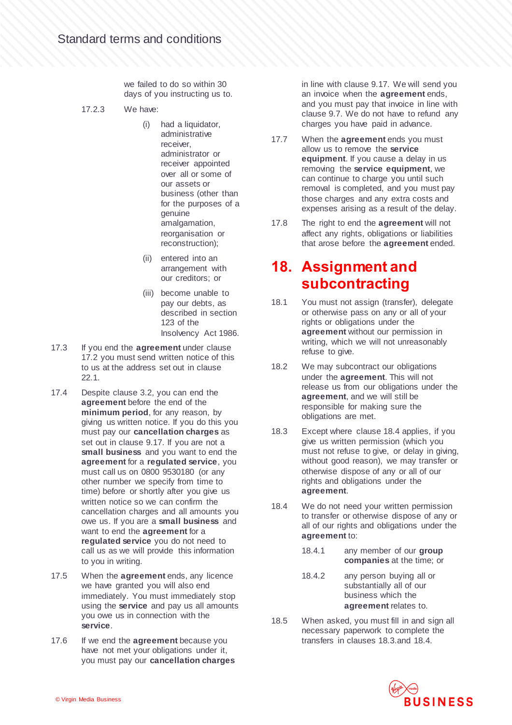we failed to do so within 30 days of you instructing us to.

- 17.2.3 We have:
	- (i) had a liquidator, administrative receiver, administrator or receiver appointed over all or some of our assets or business (other than for the purposes of a genuine amalgamation, reorganisation or reconstruction);
	- (ii) entered into an arrangement with our creditors; or
	- (iii) become unable to pay our debts, as described in section 123 of the Insolvency Act 1986.
- 17.3 If you end the **agreement** under clause 17.2 you must send written notice of this to us at the address set out in clause 22.1.
- 17.4 Despite clause [3.2,](#page-3-0) you can end the **agreement** before the end of the **minimum period**, for any reason, by giving us written notice. If you do this you must pay our **cancellation charges** as set out in clause [9.17.](#page-9-0) If you are not a **small business** and you want to end the **agreement** for a **regulated service**, you must call us on 0800 9530180 (or any other number we specify from time to time) before or shortly after you give us written notice so we can confirm the cancellation charges and all amounts you owe us. If you are a **small business** and want to end the **agreement** for a **regulated service** you do not need to call us as we will provide this information to you in writing.
- 17.5 When the **agreement** ends, any licence we have granted you will also end immediately. You must immediately stop using the **service** and pay us all amounts you owe us in connection with the **service**.
- 17.6 If we end the **agreement** because you have not met your obligations under it, you must pay our **cancellation charges**

in line with clause 9.17. We will send you an invoice when the **agreement** ends, and you must pay that invoice in line with clause 9.7. We do not have to refund any charges you have paid in advance.

- 17.7 When the **agreement** ends you must allow us to remove the **service equipment**. If you cause a delay in us removing the **service equipment**, we can continue to charge you until such removal is completed, and you must pay those charges and any extra costs and expenses arising as a result of the delay.
- 17.8 The right to end the **agreement** will not affect any rights, obligations or liabilities that arose before the **agreement** ended.

#### **18. Assignment and subcontracting**

- 18.1 You must not assign (transfer), delegate or otherwise pass on any or all of your rights or obligations under the **agreement** without our permission in writing, which we will not unreasonably refuse to give.
- 18.2 We may subcontract our obligations under the **agreement**. This will not release us from our obligations under the **agreement**, and we will still be responsible for making sure the obligations are met.
- 18.3 Except where clause 18.4 applies, if you give us written permission (which you must not refuse to give, or delay in giving, without good reason), we may transfer or otherwise dispose of any or all of our rights and obligations under the **agreement**.
- 18.4 We do not need your written permission to transfer or otherwise dispose of any or all of our rights and obligations under the **agreement** to:
	- 18.4.1 any member of our **group companies** at the time; or
	- 18.4.2 any person buying all or substantially all of our business which the **agreement** relates to.
- 18.5 When asked, you must fill in and sign all necessary paperwork to complete the transfers in clauses 18.3.and 18.4.

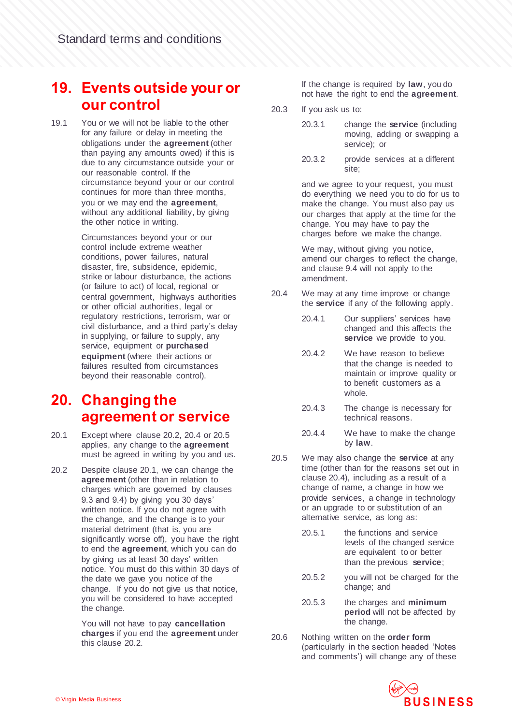#### **19. Events outside your or our control**

19.1 You or we will not be liable to the other for any failure or delay in meeting the obligations under the **agreement** (other than paying any amounts owed) if this is due to any circumstance outside your or our reasonable control. If the circumstance beyond your or our control continues for more than three months, you or we may end the **agreement**, without any additional liability, by giving the other notice in writing.

> Circumstances beyond your or our control include extreme weather conditions, power failures, natural disaster, fire, subsidence, epidemic, strike or labour disturbance, the actions (or failure to act) of local, regional or central government, highways authorities or other official authorities, legal or regulatory restrictions, terrorism, war or civil disturbance, and a third party's delay in supplying, or failure to supply, any service, equipment or **purchased equipment** (where their actions or failures resulted from circumstances beyond their reasonable control).

#### **20. Changing the agreement or service**

- 20.1 Except where clause 20.2, 20.4 or 20.5 applies, any change to the **agreement** must be agreed in writing by you and us.
- 20.2 Despite clause 20.1, we can change the **agreement** (other than in relation to charges which are governed by clauses 9.3 and 9.4) by giving you 30 days' written notice. If you do not agree with the change, and the change is to your material detriment (that is, you are significantly worse off), you have the right to end the **agreement**, which you can do by giving us at least 30 days' written notice. You must do this within 30 days of the date we gave you notice of the change. If you do not give us that notice, you will be considered to have accepted the change.

You will not have to pay **cancellation charges** if you end the **agreement** under this clause 20.2.

If the change is required by **law**, you do not have the right to end the **agreement**.

- 20.3 If you ask us to:
	- 20.3.1 change the **service** (including moving, adding or swapping a service); or
	- 20.3.2 provide services at a different site;

and we agree to your request, you must do everything we need you to do for us to make the change. You must also pay us our charges that apply at the time for the change. You may have to pay the charges before we make the change.

We may, without giving you notice, amend our charges to reflect the change, and clause 9.4 will not apply to the amendment.

- 20.4 We may at any time improve or change the **service** if any of the following apply.
	- 20.4.1 Our suppliers' services have changed and this affects the **service** we provide to you.
	- 20.4.2 We have reason to believe that the change is needed to maintain or improve quality or to benefit customers as a whole.
	- 20.4.3 The change is necessary for technical reasons.
	- 20.4.4 We have to make the change by **law**.
- 20.5 We may also change the **service** at any time (other than for the reasons set out in clause 20.4), including as a result of a change of name, a change in how we provide services, a change in technology or an upgrade to or substitution of an alternative service, as long as:
	- 20.5.1 the functions and service levels of the changed service are equivalent to or better than the previous **service**;
	- 20.5.2 you will not be charged for the change; and
	- 20.5.3 the charges and **minimum period** will not be affected by the change.
- 20.6 Nothing written on the **order form** (particularly in the section headed 'Notes and comments') will change any of these

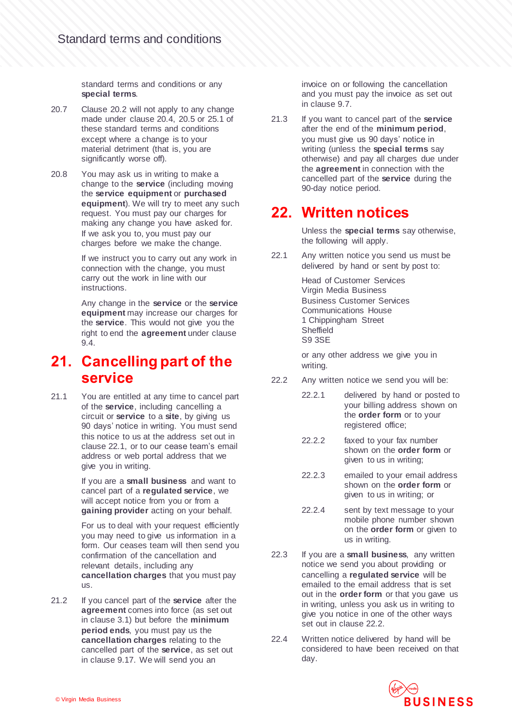standard terms and conditions or any **special terms**.

- 20.7 Clause 20.2 will not apply to any change made under clause 20.4, 20.5 or 25.1 of these standard terms and conditions except where a change is to your material detriment (that is, you are significantly worse off).
- 20.8 You may ask us in writing to make a change to the **service** (including moving the **service equipment** or **purchased equipment**). We will try to meet any such request. You must pay our charges for making any change you have asked for. If we ask you to, you must pay our charges before we make the change.

If we instruct you to carry out any work in connection with the change, you must carry out the work in line with our instructions.

Any change in the **service** or the **service equipment** may increase our charges for the **service**. This would not give you the right to end the **agreement** under clause 9.4.

#### **21. Cancelling part of the service**

21.1 You are entitled at any time to cancel part of the **service**, including cancelling a circuit or **service** to a **site**, by giving us 90 days' notice in writing. You must send this notice to us at the address set out in clause 22.1, or to our cease team's email address or web portal address that we give you in writing.

> If you are a **small business** and want to cancel part of a **regulated service**, we will accept notice from you or from a **gaining provider** acting on your behalf.

For us to deal with your request efficiently you may need to give us information in a form. Our ceases team will then send you confirmation of the cancellation and relevant details, including any **cancellation charges** that you must pay us.

21.2 If you cancel part of the **service** after the **agreement** comes into force (as set out in clause 3.1) but before the **minimum period ends**, you must pay us the **cancellation charges** relating to the cancelled part of the **service**, as set out in clause 9.17. We will send you an

invoice on or following the cancellation and you must pay the invoice as set out in clause 9.7.

21.3 If you want to cancel part of the **service** after the end of the **minimum period**, you must give us 90 days' notice in writing (unless the **special terms** say otherwise) and pay all charges due under the **agreement** in connection with the cancelled part of the **service** during the 90-day notice period.

#### **22. Written notices**

Unless the **special terms** say otherwise, the following will apply.

22.1 Any written notice you send us must be delivered by hand or sent by post to:

> Head of Customer Services Virgin Media Business Business Customer Services Communications House 1 Chippingham Street Sheffield S9 3SE

or any other address we give you in writing.

- 22.2 Any written notice we send you will be:
	- 22.2.1 delivered by hand or posted to your billing address shown on the **order form** or to your registered office;
	- 22.2.2 faxed to your fax number shown on the **order form** or given to us in writing;
	- 22.2.3 emailed to your email address shown on the **order form** or given to us in writing; or
	- 22.2.4 sent by text message to your mobile phone number shown on the **order form** or given to us in writing.
- 22.3 If you are a **small business**, any written notice we send you about providing or cancelling a **regulated service** will be emailed to the email address that is set out in the **order form** or that you gave us in writing, unless you ask us in writing to give you notice in one of the other ways set out in clause 22.2.
- 22.4 Written notice delivered by hand will be considered to have been received on that day.

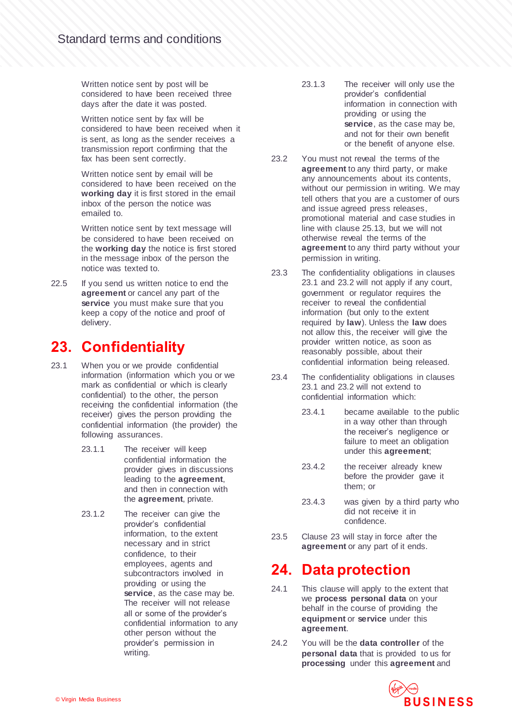Written notice sent by post will be considered to have been received three days after the date it was posted.

Written notice sent by fax will be considered to have been received when it is sent, as long as the sender receives a transmission report confirming that the fax has been sent correctly.

Written notice sent by email will be considered to have been received on the **working day** it is first stored in the email inbox of the person the notice was emailed to.

Written notice sent by text message will be considered to have been received on the **working day** the notice is first stored in the message inbox of the person the notice was texted to.

22.5 If you send us written notice to end the **agreement** or cancel any part of the **service** you must make sure that you keep a copy of the notice and proof of delivery.

#### **23. Confidentiality**

- 23.1 When you or we provide confidential information (information which you or we mark as confidential or which is clearly confidential) to the other, the person receiving the confidential information (the receiver) gives the person providing the confidential information (the provider) the following assurances.
	- 23.1.1 The receiver will keep confidential information the provider gives in discussions leading to the **agreement**, and then in connection with the **agreement**, private.
	- 23.1.2 The receiver can give the provider's confidential information, to the extent necessary and in strict confidence, to their employees, agents and subcontractors involved in providing or using the **service**, as the case may be. The receiver will not release all or some of the provider's confidential information to any other person without the provider's permission in writing.
- 23.1.3 The receiver will only use the provider's confidential information in connection with providing or using the **service**, as the case may be, and not for their own benefit or the benefit of anyone else.
- 23.2 You must not reveal the terms of the **agreement** to any third party, or make any announcements about its contents, without our permission in writing. We may tell others that you are a customer of ours and issue agreed press releases, promotional material and case studies in line with clause 25.13, but we will not otherwise reveal the terms of the **agreement** to any third party without your permission in writing.
- 23.3 The confidentiality obligations in clauses 23.1 and 23.2 will not apply if any court, government or regulator requires the receiver to reveal the confidential information (but only to the extent required by **law**). Unless the **law** does not allow this, the receiver will give the provider written notice, as soon as reasonably possible, about their confidential information being released.
- 23.4 The confidentiality obligations in clauses 23.1 and 23.2 will not extend to confidential information which:
	- 23.4.1 became available to the public in a way other than through the receiver's negligence or failure to meet an obligation under this **agreement**;
	- 23.4.2 the receiver already knew before the provider gave it them; or
	- 23.4.3 was given by a third party who did not receive it in confidence.
- 23.5 Clause 23 will stay in force after the **agreement** or any part of it ends.

#### **24. Data protection**

- 24.1 This clause will apply to the extent that we **process personal data** on your behalf in the course of providing the **equipment** or **service** under this **agreement**.
- 24.2 You will be the **data controller** of the **personal data** that is provided to us for **processing** under this **agreement** and

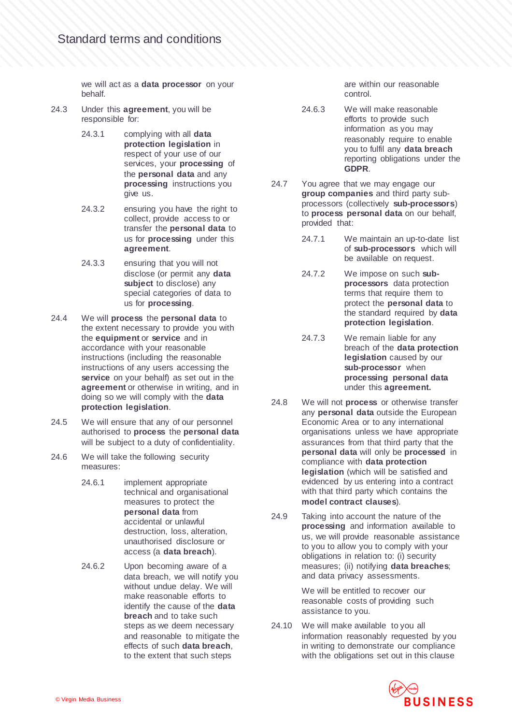we will act as a **data processor** on your behalf.

- 24.3 Under this **agreement**, you will be responsible for:
	- 24.3.1 complying with all **data protection legislation** in respect of your use of our services, your **processing** of the **personal data** and any **processing** instructions you give us.
	- 24.3.2 ensuring you have the right to collect, provide access to or transfer the **personal data** to us for **processing** under this **agreement**.
	- 24.3.3 ensuring that you will not disclose (or permit any **data subject** to disclose) any special categories of data to us for **processing**.
- 24.4 We will **process** the **personal data** to the extent necessary to provide you with the **equipment** or **service** and in accordance with your reasonable instructions (including the reasonable instructions of any users accessing the **service** on your behalf) as set out in the **agreement** or otherwise in writing, and in doing so we will comply with the **data protection legislation**.
- 24.5 We will ensure that any of our personnel authorised to **process** the **personal data** will be subject to a duty of confidentiality.
- 24.6 We will take the following security measures:
	- 24.6.1 implement appropriate technical and organisational measures to protect the **personal data** from accidental or unlawful destruction, loss, alteration, unauthorised disclosure or access (a **data breach**).
	- 24.6.2 Upon becoming aware of a data breach, we will notify you without undue delay. We will make reasonable efforts to identify the cause of the **data breach** and to take such steps as we deem necessary and reasonable to mitigate the effects of such **data breach**, to the extent that such steps

are within our reasonable control.

- 24.6.3 We will make reasonable efforts to provide such information as you may reasonably require to enable you to fulfil any **data breach** reporting obligations under the **GDPR**.
- 24.7 You agree that we may engage our **group companies** and third party subprocessors (collectively **sub-processors**) to **process personal data** on our behalf, provided that:
	- 24.7.1 We maintain an up-to-date list of **sub-processors** which will be available on request.
	- 24.7.2 We impose on such **subprocessors** data protection terms that require them to protect the **personal data** to the standard required by **data protection legislation**.
	- 24.7.3 We remain liable for any breach of the **data protection legislation** caused by our **sub-processor** when **processing personal data** under this **agreement.**
- 24.8 We will not **process** or otherwise transfer any **personal data** outside the European Economic Area or to any international organisations unless we have appropriate assurances from that third party that the **personal data** will only be **processed** in compliance with **data protection legislation** (which will be satisfied and evidenced by us entering into a contract with that third party which contains the **model contract clauses**).
- 24.9 Taking into account the nature of the **processing** and information available to us, we will provide reasonable assistance to you to allow you to comply with your obligations in relation to: (i) security measures; (ii) notifying **data breaches**; and data privacy assessments.

We will be entitled to recover our reasonable costs of providing such assistance to you.

24.10 We will make available to you all information reasonably requested by you in writing to demonstrate our compliance with the obligations set out in this clause

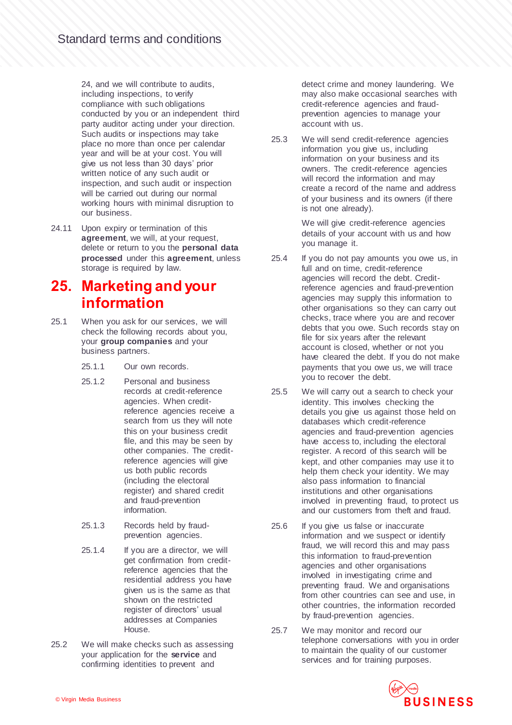24, and we will contribute to audits, including inspections, to verify compliance with such obligations conducted by you or an independent third party auditor acting under your direction. Such audits or inspections may take place no more than once per calendar year and will be at your cost. You will give us not less than 30 days' prior written notice of any such audit or inspection, and such audit or inspection will be carried out during our normal working hours with minimal disruption to our business.

24.11 Upon expiry or termination of this **agreement**, we will, at your request, delete or return to you the **personal data processed** under this **agreement**, unless storage is required by law.

#### **25. Marketing and your information**

- 25.1 When you ask for our services, we will check the following records about you, your **group companies** and your business partners.
	- 25.1.1 Our own records.
	- 25.1.2 Personal and business records at credit-reference agencies. When creditreference agencies receive a search from us they will note this on your business credit file, and this may be seen by other companies. The creditreference agencies will give us both public records (including the electoral register) and shared credit and fraud-prevention information.
	- 25.1.3 Records held by fraudprevention agencies.
	- 25.1.4 If you are a director, we will get confirmation from creditreference agencies that the residential address you have given us is the same as that shown on the restricted register of directors' usual addresses at Companies House.
- 25.2 We will make checks such as assessing your application for the **service** and confirming identities to prevent and

detect crime and money laundering. We may also make occasional searches with credit-reference agencies and fraudprevention agencies to manage your account with us.

25.3 We will send credit-reference agencies information you give us, including information on your business and its owners. The credit-reference agencies will record the information and may create a record of the name and address of your business and its owners (if there is not one already).

> We will give credit-reference agencies details of your account with us and how you manage it.

- 25.4 If you do not pay amounts you owe us, in full and on time, credit-reference agencies will record the debt. Creditreference agencies and fraud-prevention agencies may supply this information to other organisations so they can carry out checks, trace where you are and recover debts that you owe. Such records stay on file for six years after the relevant account is closed, whether or not you have cleared the debt. If you do not make payments that you owe us, we will trace you to recover the debt.
- 25.5 We will carry out a search to check your identity. This involves checking the details you give us against those held on databases which credit-reference agencies and fraud-prevention agencies have access to, including the electoral register. A record of this search will be kept, and other companies may use it to help them check your identity. We may also pass information to financial institutions and other organisations involved in preventing fraud, to protect us and our customers from theft and fraud.
- 25.6 If you give us false or inaccurate information and we suspect or identify fraud, we will record this and may pass this information to fraud-prevention agencies and other organisations involved in investigating crime and preventing fraud. We and organisations from other countries can see and use, in other countries, the information recorded by fraud-prevention agencies.
- 25.7 We may monitor and record our telephone conversations with you in order to maintain the quality of our customer services and for training purposes.

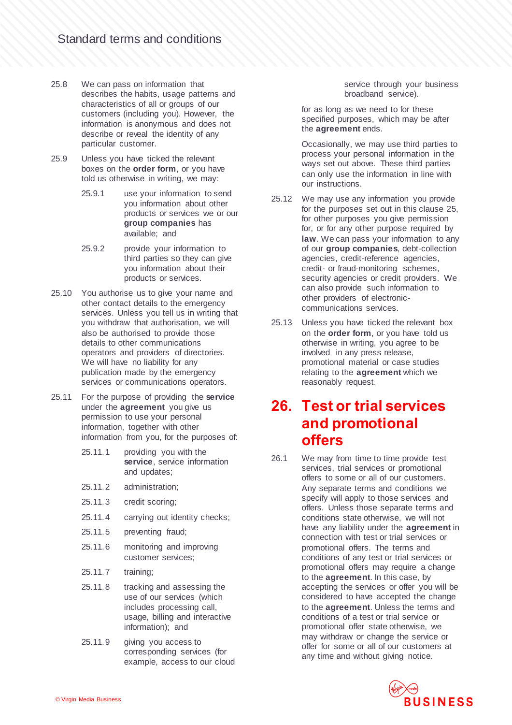- 25.8 We can pass on information that describes the habits, usage patterns and characteristics of all or groups of our customers (including you). However, the information is anonymous and does not describe or reveal the identity of any particular customer.
- 25.9 Unless you have ticked the relevant boxes on the **order form**, or you have told us otherwise in writing, we may:
	- 25.9.1 use your information to send you information about other products or services we or our **group companies** has available; and
	- 25.9.2 provide your information to third parties so they can give you information about their products or services.
- 25.10 You authorise us to give your name and other contact details to the emergency services. Unless you tell us in writing that you withdraw that authorisation, we will also be authorised to provide those details to other communications operators and providers of directories. We will have no liability for any publication made by the emergency services or communications operators.
- 25.11 For the purpose of providing the **service** under the **agreement** you give us permission to use your personal information, together with other information from you, for the purposes of:
	- 25.11.1 providing you with the **service**, service information and updates;
	- 25.11.2 administration;
	- 25.11.3 credit scoring;
	- 25.11.4 carrying out identity checks;
	- 25.11.5 preventing fraud;
	- 25.11.6 monitoring and improving customer services;
	- 25.11.7 training;
	- 25.11.8 tracking and assessing the use of our services (which includes processing call, usage, billing and interactive information); and
	- 25.11.9 giving you access to corresponding services (for example, access to our cloud

service through your business broadband service).

for as long as we need to for these specified purposes, which may be after the **agreement** ends.

Occasionally, we may use third parties to process your personal information in the ways set out above. These third parties can only use the information in line with our instructions.

- 25.12 We may use any information you provide for the purposes set out in this clause 25, for other purposes you give permission for, or for any other purpose required by **law**. We can pass your information to any of our **group companies**, debt-collection agencies, credit-reference agencies, credit- or fraud-monitoring schemes, security agencies or credit providers. We can also provide such information to other providers of electroniccommunications services.
- 25.13 Unless you have ticked the relevant box on the **order form**, or you have told us otherwise in writing, you agree to be involved in any press release, promotional material or case studies relating to the **agreement** which we reasonably request.

#### **26. Test or trial services and promotional offers**

26.1 We may from time to time provide test services, trial services or promotional offers to some or all of our customers. Any separate terms and conditions we specify will apply to those services and offers. Unless those separate terms and conditions state otherwise, we will not have any liability under the **agreement** in connection with test or trial services or promotional offers. The terms and conditions of any test or trial services or promotional offers may require a change to the **agreement**. In this case, by accepting the services or offer you will be considered to have accepted the change to the **agreement**. Unless the terms and conditions of a test or trial service or promotional offer state otherwise, we may withdraw or change the service or offer for some or all of our customers at any time and without giving notice.

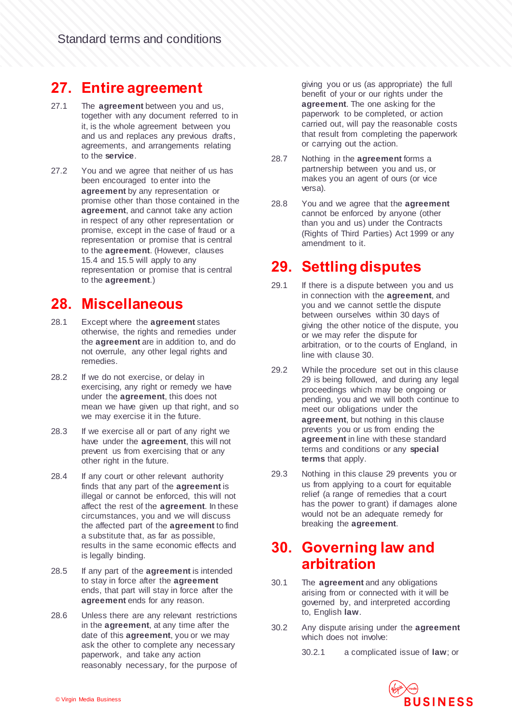#### **27. Entire agreement**

- 27.1 The **agreement** between you and us, together with any document referred to in it, is the whole agreement between you and us and replaces any previous drafts, agreements, and arrangements relating to the **service**.
- 27.2 You and we agree that neither of us has been encouraged to enter into the **agreement** by any representation or promise other than those contained in the **agreement**, and cannot take any action in respect of any other representation or promise, except in the case of fraud or a representation or promise that is central to the **agreement**. (However, clauses 15.4 and 15.5 will apply to any representation or promise that is central to the **agreement**.)

#### **28. Miscellaneous**

- 28.1 Except where the **agreement** states otherwise, the rights and remedies under the **agreement** are in addition to, and do not overrule, any other legal rights and remedies.
- 28.2 If we do not exercise, or delay in exercising, any right or remedy we have under the **agreement**, this does not mean we have given up that right, and so we may exercise it in the future.
- 28.3 If we exercise all or part of any right we have under the **agreement**, this will not prevent us from exercising that or any other right in the future.
- 28.4 If any court or other relevant authority finds that any part of the **agreement** is illegal or cannot be enforced, this will not affect the rest of the **agreement**. In these circumstances, you and we will discuss the affected part of the **agreement** to find a substitute that, as far as possible, results in the same economic effects and is legally binding.
- 28.5 If any part of the **agreement** is intended to stay in force after the **agreement** ends, that part will stay in force after the **agreement** ends for any reason.
- 28.6 Unless there are any relevant restrictions in the **agreement**, at any time after the date of this **agreement**, you or we may ask the other to complete any necessary paperwork, and take any action reasonably necessary, for the purpose of

giving you or us (as appropriate) the full benefit of your or our rights under the **agreement**. The one asking for the paperwork to be completed, or action carried out, will pay the reasonable costs that result from completing the paperwork or carrying out the action.

- 28.7 Nothing in the **agreement** forms a partnership between you and us, or makes you an agent of ours (or vice versa).
- 28.8 You and we agree that the **agreement** cannot be enforced by anyone (other than you and us) under the Contracts (Rights of Third Parties) Act 1999 or any amendment to it.

#### **29. Settling disputes**

- 29.1 If there is a dispute between you and us in connection with the **agreement**, and you and we cannot settle the dispute between ourselves within 30 days of giving the other notice of the dispute, you or we may refer the dispute for arbitration, or to the courts of England, in line with clause 30.
- 29.2 While the procedure set out in this clause 29 is being followed, and during any legal proceedings which may be ongoing or pending, you and we will both continue to meet our obligations under the **agreement**, but nothing in this clause prevents you or us from ending the **agreement** in line with these standard terms and conditions or any **special terms** that apply.
- 29.3 Nothing in this clause 29 prevents you or us from applying to a court for equitable relief (a range of remedies that a court has the power to grant) if damages alone would not be an adequate remedy for breaking the **agreement**.

#### **30. Governing law and arbitration**

- 30.1 The **agreement** and any obligations arising from or connected with it will be governed by, and interpreted according to, English **law**.
- 30.2 Any dispute arising under the **agreement** which does not involve:
	- 30.2.1 a complicated issue of **law**; or

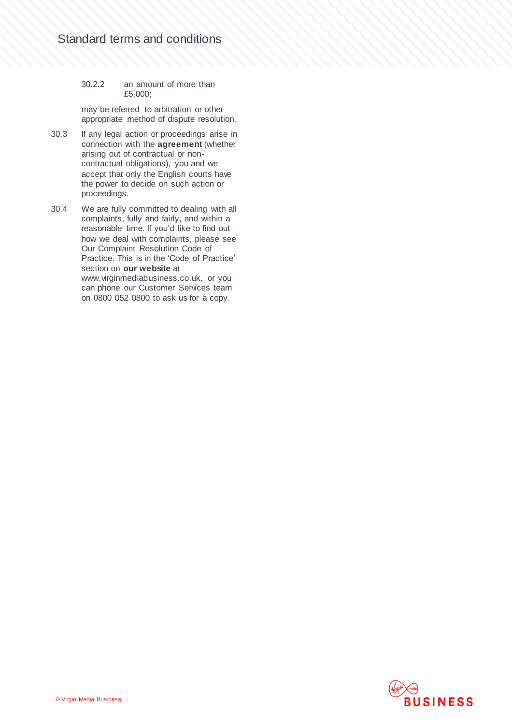#### 30.2.2 an amount of more than £5,000;

may be referred to arbitration or other appropriate method of dispute resolution.

- 30.3 If any legal action or proceedings arise in connection with the **agreement** (whether arising out of contractual or noncontractual obligations), you and we accept that only the English courts have the power to decide on such action or proceedings.
- 30.4 We are fully committed to dealing with all complaints, fully and fairly, and within a reasonable time. If you'd like to find out how we deal with complaints, please see Our Complaint Resolution Code of Practice. This is in the 'Code of Practice' section on **our website** at www.virginmediabusiness.co.uk, or you can phone our Customer Services team on 0800 052 0800 to ask us for a copy.